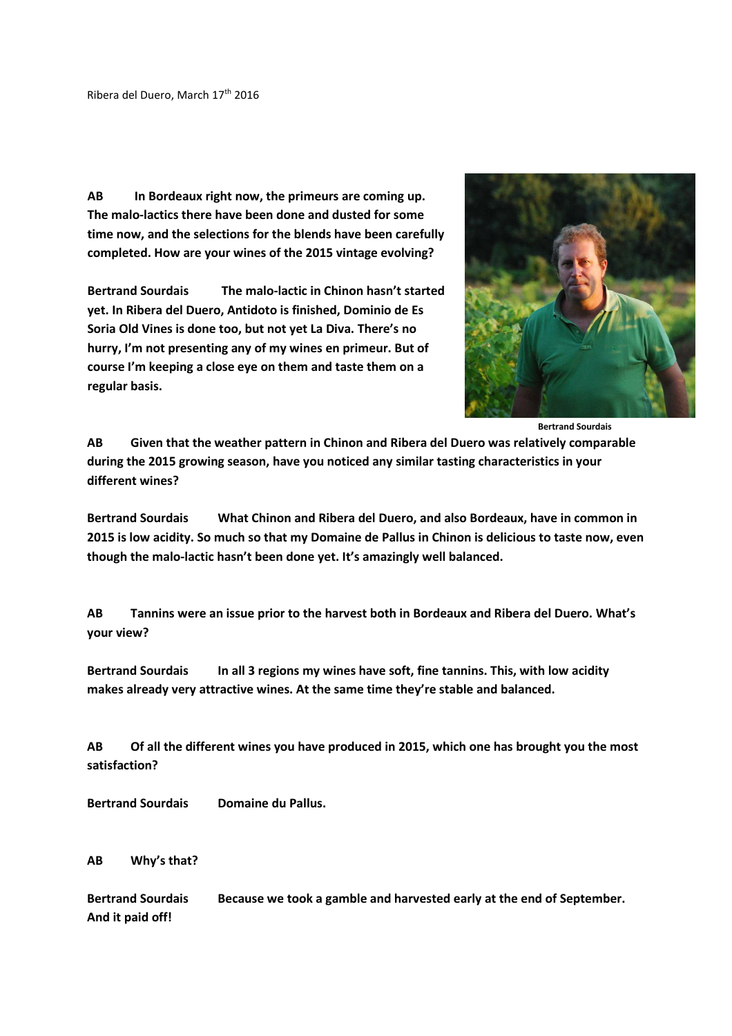**AB In Bordeaux right now, the primeurs are coming up. The malo-lactics there have been done and dusted for some time now, and the selections for the blends have been carefully completed. How are your wines of the 2015 vintage evolving?** 

**Bertrand Sourdais The malo-lactic in Chinon hasn't started yet. In Ribera del Duero, Antidoto is finished, Dominio de Es Soria Old Vines is done too, but not yet La Diva. There's no hurry, I'm not presenting any of my wines en primeur. But of course I'm keeping a close eye on them and taste them on a regular basis.** 



 **Bertrand Sourdais** 

**AB Given that the weather pattern in Chinon and Ribera del Duero was relatively comparable during the 2015 growing season, have you noticed any similar tasting characteristics in your different wines?** 

**Bertrand Sourdais What Chinon and Ribera del Duero, and also Bordeaux, have in common in 2015 is low acidity. So much so that my Domaine de Pallus in Chinon is delicious to taste now, even though the malo-lactic hasn't been done yet. It's amazingly well balanced.** 

**AB Tannins were an issue prior to the harvest both in Bordeaux and Ribera del Duero. What's your view?** 

Bertrand Sourdais In all 3 regions my wines have soft, fine tannins. This, with low acidity **makes already very attractive wines. At the same time they're stable and balanced.** 

**AB Of all the different wines you have produced in 2015, which one has brought you the most satisfaction?** 

**Bertrand Sourdais Domaine du Pallus.** 

**AB Why's that?** 

**Bertrand Sourdais Because we took a gamble and harvested early at the end of September. And it paid off!**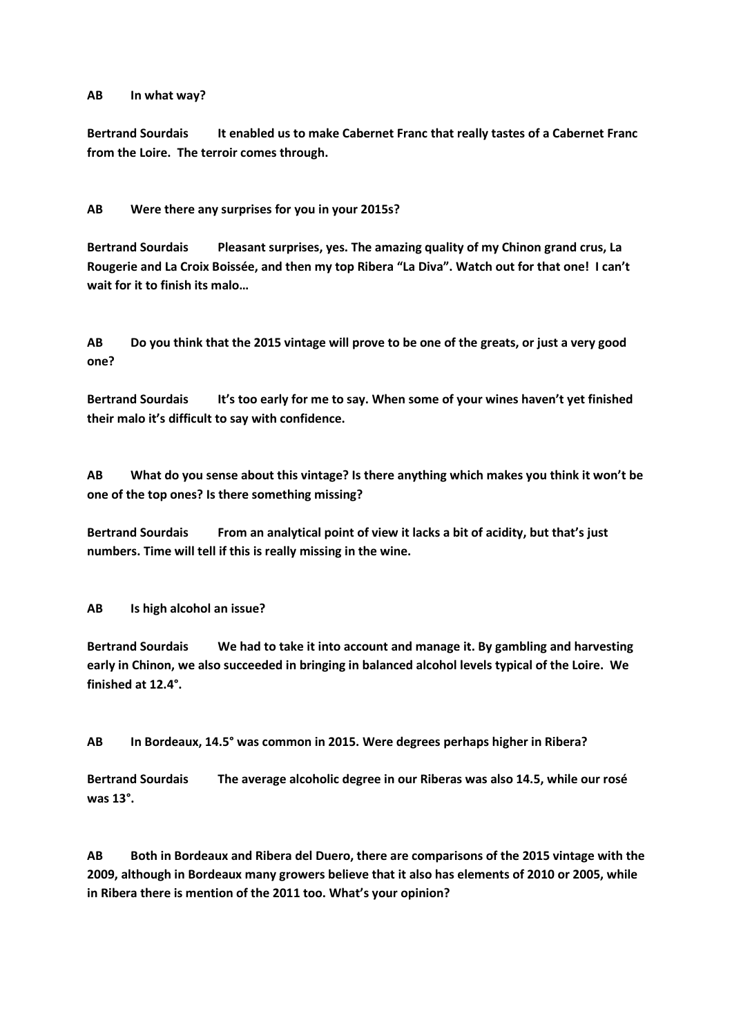## **AB In what way?**

**Bertrand Sourdais It enabled us to make Cabernet Franc that really tastes of a Cabernet Franc from the Loire. The terroir comes through.** 

**AB Were there any surprises for you in your 2015s?** 

**Bertrand Sourdais Pleasant surprises, yes. The amazing quality of my Chinon grand crus, La Rougerie and La Croix Boissée, and then my top Ribera "La Diva". Watch out for that one! I can't wait for it to finish its malo…** 

**AB Do you think that the 2015 vintage will prove to be one of the greats, or just a very good one?** 

Bertrand Sourdais It's too early for me to say. When some of your wines haven't yet finished **their malo it's difficult to say with confidence.** 

**AB What do you sense about this vintage? Is there anything which makes you think it won't be one of the top ones? Is there something missing?** 

**Bertrand Sourdais From an analytical point of view it lacks a bit of acidity, but that's just numbers. Time will tell if this is really missing in the wine.** 

**AB Is high alcohol an issue?** 

**Bertrand Sourdais We had to take it into account and manage it. By gambling and harvesting early in Chinon, we also succeeded in bringing in balanced alcohol levels typical of the Loire. We finished at 12.4°.** 

**AB In Bordeaux, 14.5° was common in 2015. Were degrees perhaps higher in Ribera?** 

**Bertrand Sourdais The average alcoholic degree in our Riberas was also 14.5, while our rosé was 13°.** 

**AB Both in Bordeaux and Ribera del Duero, there are comparisons of the 2015 vintage with the 2009, although in Bordeaux many growers believe that it also has elements of 2010 or 2005, while in Ribera there is mention of the 2011 too. What's your opinion?**